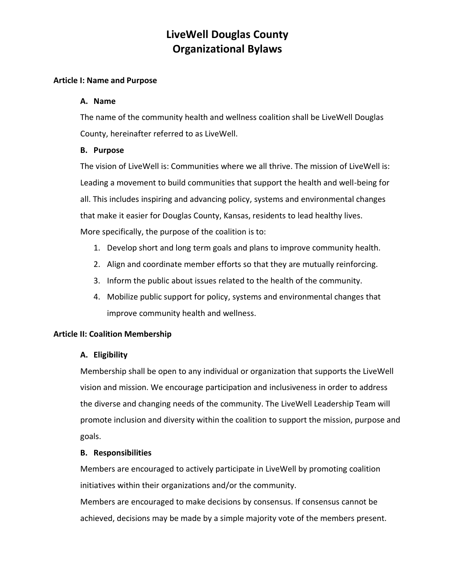### **Article I: Name and Purpose**

### **A. Name**

The name of the community health and wellness coalition shall be LiveWell Douglas County, hereinafter referred to as LiveWell.

### **B. Purpose**

The vision of LiveWell is: Communities where we all thrive. The mission of LiveWell is: Leading a movement to build communities that support the health and well-being for all. This includes inspiring and advancing policy, systems and environmental changes that make it easier for Douglas County, Kansas, residents to lead healthy lives. More specifically, the purpose of the coalition is to:

- 1. Develop short and long term goals and plans to improve community health.
- 2. Align and coordinate member efforts so that they are mutually reinforcing.
- 3. Inform the public about issues related to the health of the community.
- 4. Mobilize public support for policy, systems and environmental changes that improve community health and wellness.

### **Article II: Coalition Membership**

### **A. Eligibility**

Membership shall be open to any individual or organization that supports the LiveWell vision and mission. We encourage participation and inclusiveness in order to address the diverse and changing needs of the community. The LiveWell Leadership Team will promote inclusion and diversity within the coalition to support the mission, purpose and goals.

#### **B. Responsibilities**

Members are encouraged to actively participate in LiveWell by promoting coalition initiatives within their organizations and/or the community.

Members are encouraged to make decisions by consensus. If consensus cannot be achieved, decisions may be made by a simple majority vote of the members present.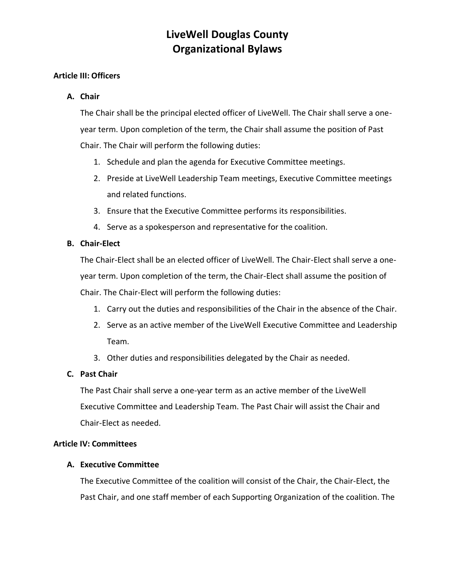### **Article III: Officers**

### **A. Chair**

The Chair shall be the principal elected officer of LiveWell. The Chair shall serve a oneyear term. Upon completion of the term, the Chair shall assume the position of Past Chair. The Chair will perform the following duties:

- 1. Schedule and plan the agenda for Executive Committee meetings.
- 2. Preside at LiveWell Leadership Team meetings, Executive Committee meetings and related functions.
- 3. Ensure that the Executive Committee performs its responsibilities.
- 4. Serve as a spokesperson and representative for the coalition.

### **B. Chair-Elect**

The Chair-Elect shall be an elected officer of LiveWell. The Chair-Elect shall serve a oneyear term. Upon completion of the term, the Chair-Elect shall assume the position of Chair. The Chair-Elect will perform the following duties:

- 1. Carry out the duties and responsibilities of the Chair in the absence of the Chair.
- 2. Serve as an active member of the LiveWell Executive Committee and Leadership Team.
- 3. Other duties and responsibilities delegated by the Chair as needed.

## **C. Past Chair**

The Past Chair shall serve a one-year term as an active member of the LiveWell Executive Committee and Leadership Team. The Past Chair will assist the Chair and Chair-Elect as needed.

### **Article IV: Committees**

### **A. Executive Committee**

The Executive Committee of the coalition will consist of the Chair, the Chair-Elect, the Past Chair, and one staff member of each Supporting Organization of the coalition. The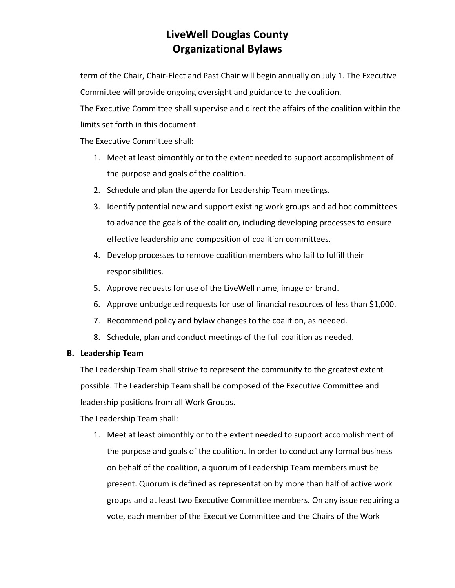term of the Chair, Chair-Elect and Past Chair will begin annually on July 1. The Executive Committee will provide ongoing oversight and guidance to the coalition.

The Executive Committee shall supervise and direct the affairs of the coalition within the limits set forth in this document.

The Executive Committee shall:

- 1. Meet at least bimonthly or to the extent needed to support accomplishment of the purpose and goals of the coalition.
- 2. Schedule and plan the agenda for Leadership Team meetings.
- 3. Identify potential new and support existing work groups and ad hoc committees to advance the goals of the coalition, including developing processes to ensure effective leadership and composition of coalition committees.
- 4. Develop processes to remove coalition members who fail to fulfill their responsibilities.
- 5. Approve requests for use of the LiveWell name, image or brand.
- 6. Approve unbudgeted requests for use of financial resources of less than \$1,000.
- 7. Recommend policy and bylaw changes to the coalition, as needed.
- 8. Schedule, plan and conduct meetings of the full coalition as needed.

## **B. Leadership Team**

The Leadership Team shall strive to represent the community to the greatest extent possible. The Leadership Team shall be composed of the Executive Committee and leadership positions from all Work Groups.

The Leadership Team shall:

1. Meet at least bimonthly or to the extent needed to support accomplishment of the purpose and goals of the coalition. In order to conduct any formal business on behalf of the coalition, a quorum of Leadership Team members must be present. Quorum is defined as representation by more than half of active work groups and at least two Executive Committee members. On any issue requiring a vote, each member of the Executive Committee and the Chairs of the Work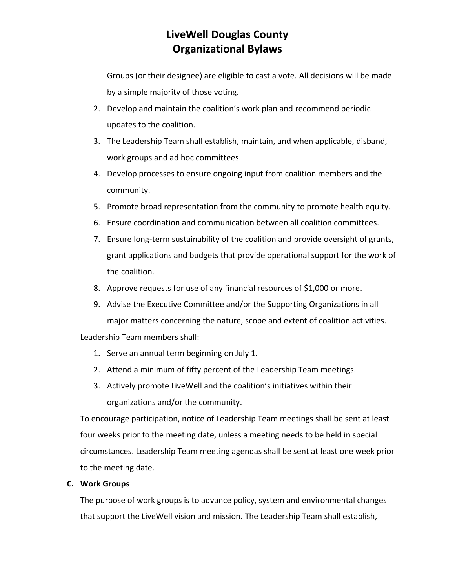Groups (or their designee) are eligible to cast a vote. All decisions will be made by a simple majority of those voting.

- 2. Develop and maintain the coalition's work plan and recommend periodic updates to the coalition.
- 3. The Leadership Team shall establish, maintain, and when applicable, disband, work groups and ad hoc committees.
- 4. Develop processes to ensure ongoing input from coalition members and the community.
- 5. Promote broad representation from the community to promote health equity.
- 6. Ensure coordination and communication between all coalition committees.
- 7. Ensure long-term sustainability of the coalition and provide oversight of grants, grant applications and budgets that provide operational support for the work of the coalition.
- 8. Approve requests for use of any financial resources of \$1,000 or more.
- 9. Advise the Executive Committee and/or the Supporting Organizations in all major matters concerning the nature, scope and extent of coalition activities.

Leadership Team members shall:

- 1. Serve an annual term beginning on July 1.
- 2. Attend a minimum of fifty percent of the Leadership Team meetings.
- 3. Actively promote LiveWell and the coalition's initiatives within their organizations and/or the community.

To encourage participation, notice of Leadership Team meetings shall be sent at least four weeks prior to the meeting date, unless a meeting needs to be held in special circumstances. Leadership Team meeting agendas shall be sent at least one week prior to the meeting date.

## **C. Work Groups**

The purpose of work groups is to advance policy, system and environmental changes that support the LiveWell vision and mission. The Leadership Team shall establish,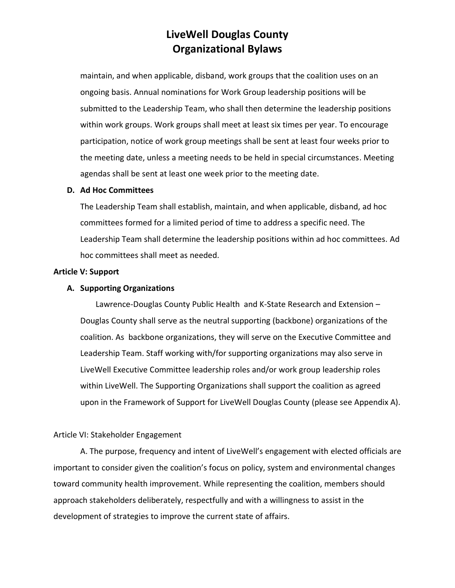maintain, and when applicable, disband, work groups that the coalition uses on an ongoing basis. Annual nominations for Work Group leadership positions will be submitted to the Leadership Team, who shall then determine the leadership positions within work groups. Work groups shall meet at least six times per year. To encourage participation, notice of work group meetings shall be sent at least four weeks prior to the meeting date, unless a meeting needs to be held in special circumstances. Meeting agendas shall be sent at least one week prior to the meeting date.

#### **D. Ad Hoc Committees**

The Leadership Team shall establish, maintain, and when applicable, disband, ad hoc committees formed for a limited period of time to address a specific need. The Leadership Team shall determine the leadership positions within ad hoc committees. Ad hoc committees shall meet as needed.

#### **Article V: Support**

#### **A. Supporting Organizations**

Lawrence-Douglas County Public Health and K-State Research and Extension – Douglas County shall serve as the neutral supporting (backbone) organizations of the coalition. As backbone organizations, they will serve on the Executive Committee and Leadership Team. Staff working with/for supporting organizations may also serve in LiveWell Executive Committee leadership roles and/or work group leadership roles within LiveWell. The Supporting Organizations shall support the coalition as agreed upon in the Framework of Support for LiveWell Douglas County (please see Appendix A).

#### Article VI: Stakeholder Engagement

A. The purpose, frequency and intent of LiveWell's engagement with elected officials are important to consider given the coalition's focus on policy, system and environmental changes toward community health improvement. While representing the coalition, members should approach stakeholders deliberately, respectfully and with a willingness to assist in the development of strategies to improve the current state of affairs.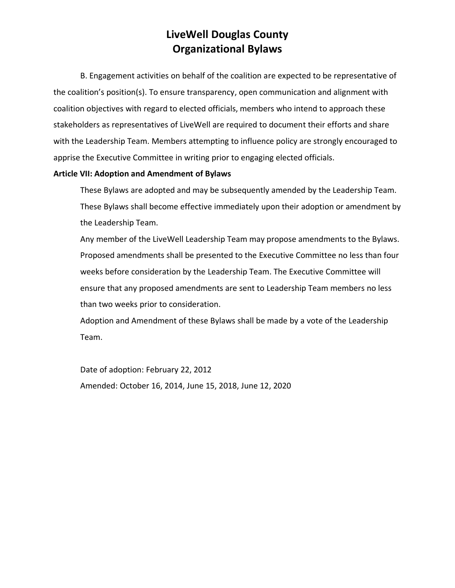B. Engagement activities on behalf of the coalition are expected to be representative of the coalition's position(s). To ensure transparency, open communication and alignment with coalition objectives with regard to elected officials, members who intend to approach these stakeholders as representatives of LiveWell are required to document their efforts and share with the Leadership Team. Members attempting to influence policy are strongly encouraged to apprise the Executive Committee in writing prior to engaging elected officials.

### **Article VII: Adoption and Amendment of Bylaws**

These Bylaws are adopted and may be subsequently amended by the Leadership Team. These Bylaws shall become effective immediately upon their adoption or amendment by the Leadership Team.

Any member of the LiveWell Leadership Team may propose amendments to the Bylaws. Proposed amendments shall be presented to the Executive Committee no less than four weeks before consideration by the Leadership Team. The Executive Committee will ensure that any proposed amendments are sent to Leadership Team members no less than two weeks prior to consideration.

Adoption and Amendment of these Bylaws shall be made by a vote of the Leadership Team.

Date of adoption: February 22, 2012 Amended: October 16, 2014, June 15, 2018, June 12, 2020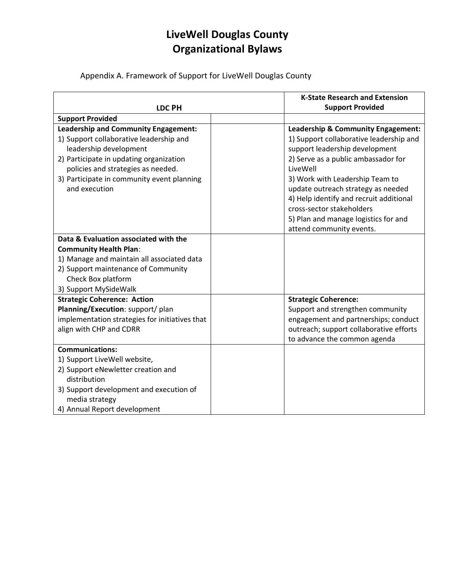Appendix A. Framework of Support for LiveWell Douglas County

|                                                                                                                                                                                                                                                                  | <b>K-State Research and Extension</b>                                                                                                                                                                                                                                                                               |
|------------------------------------------------------------------------------------------------------------------------------------------------------------------------------------------------------------------------------------------------------------------|---------------------------------------------------------------------------------------------------------------------------------------------------------------------------------------------------------------------------------------------------------------------------------------------------------------------|
| <b>LDC PH</b>                                                                                                                                                                                                                                                    | <b>Support Provided</b>                                                                                                                                                                                                                                                                                             |
| <b>Support Provided</b>                                                                                                                                                                                                                                          |                                                                                                                                                                                                                                                                                                                     |
| <b>Leadership and Community Engagement:</b><br>1) Support collaborative leadership and<br>leadership development<br>2) Participate in updating organization<br>policies and strategies as needed.<br>3) Participate in community event planning<br>and execution | Leadership & Community Engagement:<br>1) Support collaborative leadership and<br>support leadership development<br>2) Serve as a public ambassador for<br>LiveWell<br>3) Work with Leadership Team to<br>update outreach strategy as needed<br>4) Help identify and recruit additional<br>cross-sector stakeholders |
|                                                                                                                                                                                                                                                                  | 5) Plan and manage logistics for and<br>attend community events.                                                                                                                                                                                                                                                    |
| Data & Evaluation associated with the                                                                                                                                                                                                                            |                                                                                                                                                                                                                                                                                                                     |
| <b>Community Health Plan:</b>                                                                                                                                                                                                                                    |                                                                                                                                                                                                                                                                                                                     |
| 1) Manage and maintain all associated data                                                                                                                                                                                                                       |                                                                                                                                                                                                                                                                                                                     |
| 2) Support maintenance of Community                                                                                                                                                                                                                              |                                                                                                                                                                                                                                                                                                                     |
| Check Box platform                                                                                                                                                                                                                                               |                                                                                                                                                                                                                                                                                                                     |
| 3) Support MySideWalk                                                                                                                                                                                                                                            |                                                                                                                                                                                                                                                                                                                     |
| <b>Strategic Coherence: Action</b>                                                                                                                                                                                                                               | <b>Strategic Coherence:</b>                                                                                                                                                                                                                                                                                         |
| Planning/Execution: support/ plan                                                                                                                                                                                                                                | Support and strengthen community                                                                                                                                                                                                                                                                                    |
| implementation strategies for initiatives that                                                                                                                                                                                                                   | engagement and partnerships; conduct                                                                                                                                                                                                                                                                                |
| align with CHP and CDRR                                                                                                                                                                                                                                          | outreach; support collaborative efforts                                                                                                                                                                                                                                                                             |
|                                                                                                                                                                                                                                                                  | to advance the common agenda                                                                                                                                                                                                                                                                                        |
| <b>Communications:</b>                                                                                                                                                                                                                                           |                                                                                                                                                                                                                                                                                                                     |
| 1) Support LiveWell website,                                                                                                                                                                                                                                     |                                                                                                                                                                                                                                                                                                                     |
| 2) Support eNewletter creation and<br>distribution                                                                                                                                                                                                               |                                                                                                                                                                                                                                                                                                                     |
| 3) Support development and execution of<br>media strategy                                                                                                                                                                                                        |                                                                                                                                                                                                                                                                                                                     |
| 4) Annual Report development                                                                                                                                                                                                                                     |                                                                                                                                                                                                                                                                                                                     |